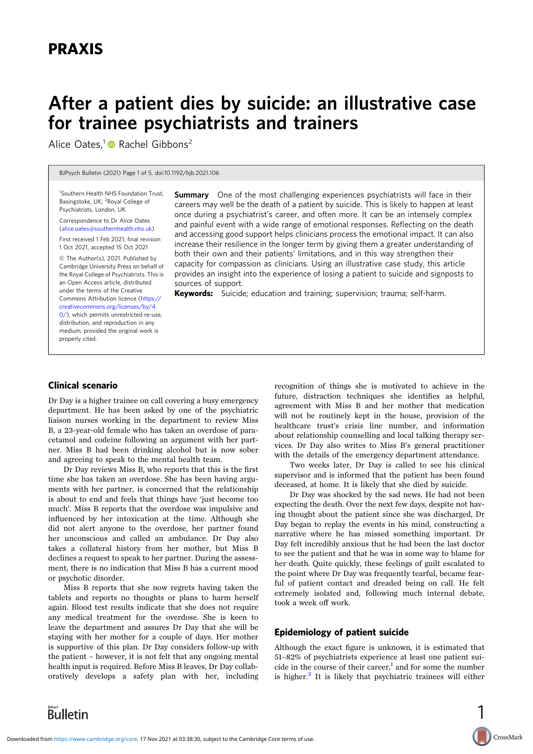# After a patient dies by suicide: an illustrative case for trainee psychiatrists and trainers

Alice Oates,<sup>1</sup> Rachel Gibbons<sup>2</sup>

BJPsych Bulletin (2021) Page 1 of 5, doi:10.1192/bjb.2021.106

<sup>1</sup>Southern Health NHS Foundation Trust, Basingstoke, UK; <sup>2</sup>Royal College of Psychiatrists, London, UK

Correspondence to Dr Alice Oates [\(alice.oates@southernhealth.nhs.uk\)](mailto:alice.oates@southernhealth.nhs.uk)

First received 1 Feb 2021, final revision 1 Oct 2021, accepted 15 Oct 2021

© The Author(s), 2021. Published by Cambridge University Press on behalf of the Royal College of Psychiatrists. This is an Open Access article, distributed under the terms of the Creative Commons Attribution licence [\(https://](https://creativecommons.org/licenses/by/4.0/) [creativecommons.org/licenses/by/4.](https://creativecommons.org/licenses/by/4.0/) [0/](https://creativecommons.org/licenses/by/4.0/)), which permits unrestricted re-use, distribution, and reproduction in any medium, provided the original work is properly cited.

**Summary** One of the most challenging experiences psychiatrists will face in their careers may well be the death of a patient by suicide. This is likely to happen at least once during a psychiatrist's career, and often more. It can be an intensely complex and painful event with a wide range of emotional responses. Reflecting on the death and accessing good support helps clinicians process the emotional impact. It can also increase their resilience in the longer term by giving them a greater understanding of both their own and their patients' limitations, and in this way strengthen their capacity for compassion as clinicians. Using an illustrative case study, this article provides an insight into the experience of losing a patient to suicide and signposts to sources of support.

Keywords: Suicide; education and training; supervision; trauma; self-harm.

#### Clinical scenario

Dr Day is a higher trainee on call covering a busy emergency department. He has been asked by one of the psychiatric liaison nurses working in the department to review Miss B, a 23-year-old female who has taken an overdose of paracetamol and codeine following an argument with her partner. Miss B had been drinking alcohol but is now sober and agreeing to speak to the mental health team.

Dr Day reviews Miss B, who reports that this is the first time she has taken an overdose. She has been having arguments with her partner, is concerned that the relationship is about to end and feels that things have 'just become too much'. Miss B reports that the overdose was impulsive and influenced by her intoxication at the time. Although she did not alert anyone to the overdose, her partner found her unconscious and called an ambulance. Dr Day also takes a collateral history from her mother, but Miss B declines a request to speak to her partner. During the assessment, there is no indication that Miss B has a current mood or psychotic disorder.

Miss B reports that she now regrets having taken the tablets and reports no thoughts or plans to harm herself again. Blood test results indicate that she does not require any medical treatment for the overdose. She is keen to leave the department and assures Dr Day that she will be staying with her mother for a couple of days. Her mother is supportive of this plan. Dr Day considers follow-up with the patient – however, it is not felt that any ongoing mental health input is required. Before Miss B leaves, Dr Day collaboratively develops a safety plan with her, including

recognition of things she is motivated to achieve in the future, distraction techniques she identifies as helpful, agreement with Miss B and her mother that medication will not be routinely kept in the house, provision of the healthcare trust's crisis line number, and information about relationship counselling and local talking therapy services. Dr Day also writes to Miss B's general practitioner with the details of the emergency department attendance.

Two weeks later, Dr Day is called to see his clinical supervisor and is informed that the patient has been found deceased, at home. It is likely that she died by suicide.

Dr Day was shocked by the sad news. He had not been expecting the death. Over the next few days, despite not having thought about the patient since she was discharged, Dr Day began to replay the events in his mind, constructing a narrative where he has missed something important. Dr Day felt incredibly anxious that he had been the last doctor to see the patient and that he was in some way to blame for her death. Quite quickly, these feelings of guilt escalated to the point where Dr Day was frequently tearful, became fearful of patient contact and dreaded being on call. He felt extremely isolated and, following much internal debate, took a week off work.

# Epidemiology of patient suicide

Although the exact figure is unknown, it is estimated that 51–82% of psychiatrists experience at least one patient suicide in the course of their career, $\frac{1}{2}$  $\frac{1}{2}$  $\frac{1}{2}$  and for some the number is higher.<sup>[2](#page-3-0)</sup> It is likely that psychiatric trainees will either

1

CrossMark

Bulletin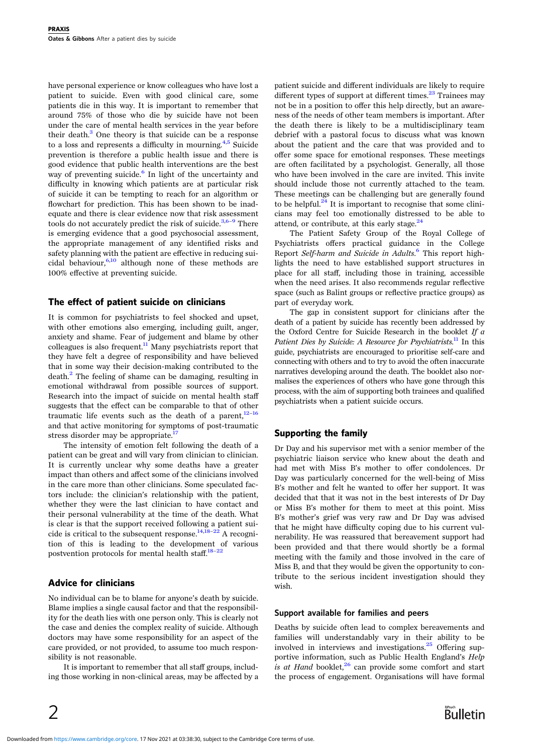have personal experience or know colleagues who have lost a patient to suicide. Even with good clinical care, some patients die in this way. It is important to remember that around 75% of those who die by suicide have not been under the care of mental health services in the year before their death. $3$  One theory is that suicide can be a response to a loss and represents a difficulty in mourning[.4](#page-3-0),[5](#page-3-0) Suicide prevention is therefore a public health issue and there is good evidence that public health interventions are the best way of preventing suicide.<sup>[6](#page-3-0)</sup> In light of the uncertainty and difficulty in knowing which patients are at particular risk of suicide it can be tempting to reach for an algorithm or flowchart for prediction. This has been shown to be inadequate and there is clear evidence now that risk assessment tools do not accurately predict the risk of suicide.<sup>[3,6](#page-3-0)–[9](#page-3-0)</sup> There is emerging evidence that a good psychosocial assessment, the appropriate management of any identified risks and safety planning with the patient are effective in reducing suicidal behaviour, $6,10$  although none of these methods are 100% effective at preventing suicide.

## The effect of patient suicide on clinicians

It is common for psychiatrists to feel shocked and upset, with other emotions also emerging, including guilt, anger, anxiety and shame. Fear of judgement and blame by other colleagues is also frequent. $11$  Many psychiatrists report that they have felt a degree of responsibility and have believed that in some way their decision-making contributed to the death.<sup>[2](#page-3-0)</sup> The feeling of shame can be damaging, resulting in emotional withdrawal from possible sources of support. Research into the impact of suicide on mental health staff suggests that the effect can be comparable to that of other traumatic life events such as the death of a parent, $12-16$  $12-16$  $12-16$ and that active monitoring for symptoms of post-traumatic stress disorder may be appropriate. $17$ 

The intensity of emotion felt following the death of a patient can be great and will vary from clinician to clinician. It is currently unclear why some deaths have a greater impact than others and affect some of the clinicians involved in the care more than other clinicians. Some speculated factors include: the clinician's relationship with the patient, whether they were the last clinician to have contact and their personal vulnerability at the time of the death. What is clear is that the support received following a patient sui-cide is critical to the subsequent response.<sup>14[,18](#page-4-0)-[22](#page-4-0)</sup> A recognition of this is leading to the development of various postvention protocols for mental health staff.<sup>[18](#page-4-0)-[22](#page-4-0)</sup>

## Advice for clinicians

No individual can be to blame for anyone's death by suicide. Blame implies a single causal factor and that the responsibility for the death lies with one person only. This is clearly not the case and denies the complex reality of suicide. Although doctors may have some responsibility for an aspect of the care provided, or not provided, to assume too much responsibility is not reasonable.

It is important to remember that all staff groups, including those working in non-clinical areas, may be affected by a

2

patient suicide and different individuals are likely to require different types of support at different times. $^{23}$  $^{23}$  $^{23}$  Trainees may not be in a position to offer this help directly, but an awareness of the needs of other team members is important. After the death there is likely to be a multidisciplinary team debrief with a pastoral focus to discuss what was known about the patient and the care that was provided and to offer some space for emotional responses. These meetings are often facilitated by a psychologist. Generally, all those who have been involved in the care are invited. This invite should include those not currently attached to the team. These meetings can be challenging but are generally found to be helpful. $^{24}$  It is important to recognise that some clinicians may feel too emotionally distressed to be able to attend, or contribute, at this early stage. $24$ 

The Patient Safety Group of the Royal College of Psychiatrists offers practical guidance in the College Report Self-harm and Suicide in Adults.<sup>[6](#page-3-0)</sup> This report highlights the need to have established support structures in place for all staff, including those in training, accessible when the need arises. It also recommends regular reflective space (such as Balint groups or reflective practice groups) as part of everyday work.

The gap in consistent support for clinicians after the death of a patient by suicide has recently been addressed by the Oxford Centre for Suicide Research in the booklet If  $a$ Patient Dies by Suicide: A Resource for Psychiatrists.<sup>[11](#page-3-0)</sup> In this guide, psychiatrists are encouraged to prioritise self-care and connecting with others and to try to avoid the often inaccurate narratives developing around the death. The booklet also normalises the experiences of others who have gone through this process, with the aim of supporting both trainees and qualified psychiatrists when a patient suicide occurs.

## Supporting the family

Dr Day and his supervisor met with a senior member of the psychiatric liaison service who knew about the death and had met with Miss B's mother to offer condolences. Dr Day was particularly concerned for the well-being of Miss B's mother and felt he wanted to offer her support. It was decided that that it was not in the best interests of Dr Day or Miss B's mother for them to meet at this point. Miss B's mother's grief was very raw and Dr Day was advised that he might have difficulty coping due to his current vulnerability. He was reassured that bereavement support had been provided and that there would shortly be a formal meeting with the family and those involved in the care of Miss B, and that they would be given the opportunity to contribute to the serious incident investigation should they wish.

#### Support available for families and peers

Deaths by suicide often lead to complex bereavements and families will understandably vary in their ability to be involved in interviews and investigations. $25$  Offering supportive information, such as Public Health England's Help is at Hand booklet, $^{26}$  $^{26}$  $^{26}$  can provide some comfort and start the process of engagement. Organisations will have formal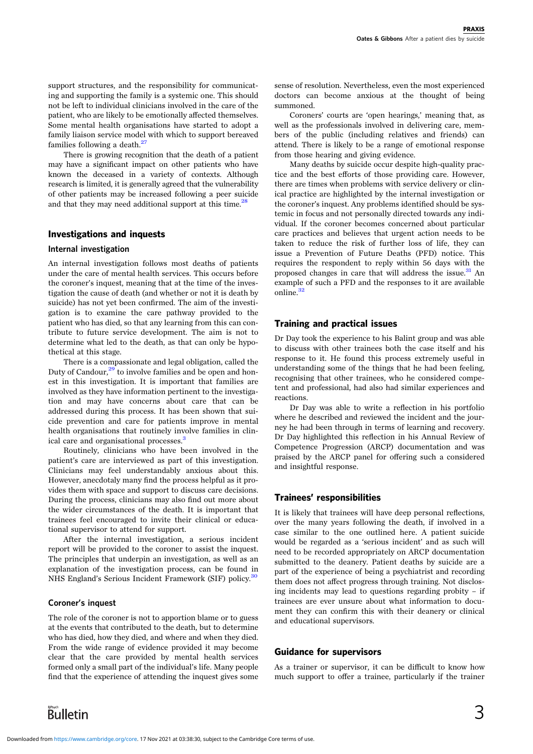support structures, and the responsibility for communicating and supporting the family is a systemic one. This should not be left to individual clinicians involved in the care of the patient, who are likely to be emotionally affected themselves. Some mental health organisations have started to adopt a family liaison service model with which to support bereaved families following a death.<sup>[27](#page-4-0)</sup>

There is growing recognition that the death of a patient may have a significant impact on other patients who have known the deceased in a variety of contexts. Although research is limited, it is generally agreed that the vulnerability of other patients may be increased following a peer suicide and that they may need additional support at this time.<sup>[28](#page-4-0)</sup>

## Investigations and inquests

## Internal investigation

An internal investigation follows most deaths of patients under the care of mental health services. This occurs before the coroner's inquest, meaning that at the time of the investigation the cause of death (and whether or not it is death by suicide) has not yet been confirmed. The aim of the investigation is to examine the care pathway provided to the patient who has died, so that any learning from this can contribute to future service development. The aim is not to determine what led to the death, as that can only be hypothetical at this stage.

There is a compassionate and legal obligation, called the Duty of Candour, $29$  to involve families and be open and honest in this investigation. It is important that families are involved as they have information pertinent to the investigation and may have concerns about care that can be addressed during this process. It has been shown that suicide prevention and care for patients improve in mental health organisations that routinely involve families in clin-ical care and organisational processes.<sup>[3](#page-3-0)</sup>

Routinely, clinicians who have been involved in the patient's care are interviewed as part of this investigation. Clinicians may feel understandably anxious about this. However, anecdotaly many find the process helpful as it provides them with space and support to discuss care decisions. During the process, clinicians may also find out more about the wider circumstances of the death. It is important that trainees feel encouraged to invite their clinical or educational supervisor to attend for support.

After the internal investigation, a serious incident report will be provided to the coroner to assist the inquest. The principles that underpin an investigation, as well as an explanation of the investigation process, can be found in NHS England's Serious Incident Framework (SIF) policy.<sup>[30](#page-4-0)</sup>

#### Coroner's inquest

The role of the coroner is not to apportion blame or to guess at the events that contributed to the death, but to determine who has died, how they died, and where and when they died. From the wide range of evidence provided it may become clear that the care provided by mental health services formed only a small part of the individual's life. Many people find that the experience of attending the inquest gives some

sense of resolution. Nevertheless, even the most experienced doctors can become anxious at the thought of being summoned.

Coroners' courts are 'open hearings,' meaning that, as well as the professionals involved in delivering care, members of the public (including relatives and friends) can attend. There is likely to be a range of emotional response from those hearing and giving evidence.

Many deaths by suicide occur despite high-quality practice and the best efforts of those providing care. However, there are times when problems with service delivery or clinical practice are highlighted by the internal investigation or the coroner's inquest. Any problems identified should be systemic in focus and not personally directed towards any individual. If the coroner becomes concerned about particular care practices and believes that urgent action needs to be taken to reduce the risk of further loss of life, they can issue a Prevention of Future Deaths (PFD) notice. This requires the respondent to reply within 56 days with the proposed changes in care that will address the issue. $31$  An example of such a PFD and the responses to it are available online $\frac{32}{2}$ 

#### Training and practical issues

Dr Day took the experience to his Balint group and was able to discuss with other trainees both the case itself and his response to it. He found this process extremely useful in understanding some of the things that he had been feeling, recognising that other trainees, who he considered competent and professional, had also had similar experiences and reactions.

Dr Day was able to write a reflection in his portfolio where he described and reviewed the incident and the journey he had been through in terms of learning and recovery. Dr Day highlighted this reflection in his Annual Review of Competence Progression (ARCP) documentation and was praised by the ARCP panel for offering such a considered and insightful response.

#### Trainees' responsibilities

It is likely that trainees will have deep personal reflections, over the many years following the death, if involved in a case similar to the one outlined here. A patient suicide would be regarded as a 'serious incident' and as such will need to be recorded appropriately on ARCP documentation submitted to the deanery. Patient deaths by suicide are a part of the experience of being a psychiatrist and recording them does not affect progress through training. Not disclosing incidents may lead to questions regarding probity – if trainees are ever unsure about what information to document they can confirm this with their deanery or clinical and educational supervisors.

#### Guidance for supervisors

As a trainer or supervisor, it can be difficult to know how much support to offer a trainee, particularly if the trainer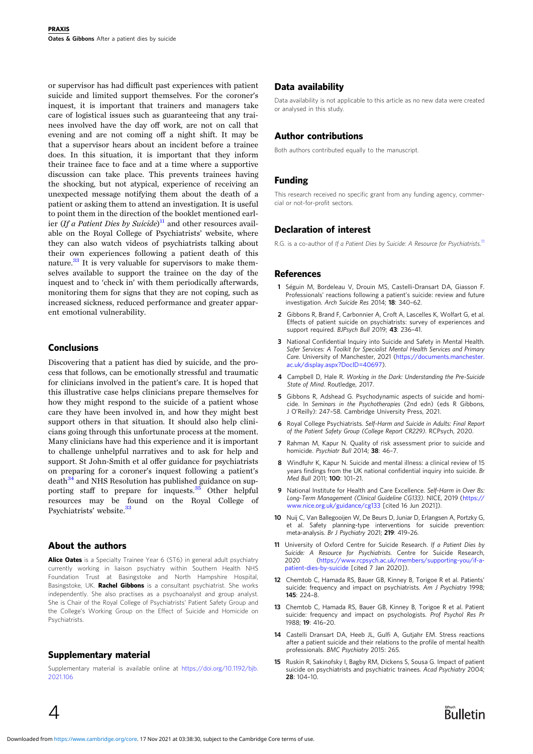<span id="page-3-0"></span>or supervisor has had difficult past experiences with patient suicide and limited support themselves. For the coroner's inquest, it is important that trainers and managers take care of logistical issues such as guaranteeing that any trainees involved have the day off work, are not on call that evening and are not coming off a night shift. It may be that a supervisor hears about an incident before a trainee does. In this situation, it is important that they inform their trainee face to face and at a time where a supportive discussion can take place. This prevents trainees having the shocking, but not atypical, experience of receiving an unexpected message notifying them about the death of a patient or asking them to attend an investigation. It is useful to point them in the direction of the booklet mentioned earlier (If a Patient Dies by Suicide)<sup>11</sup> and other resources available on the Royal College of Psychiatrists' website, where they can also watch videos of psychiatrists talking about their own experiences following a patient death of this nature. $33$  It is very valuable for supervisors to make themselves available to support the trainee on the day of the inquest and to 'check in' with them periodically afterwards, monitoring them for signs that they are not coping, such as increased sickness, reduced performance and greater apparent emotional vulnerability.

# **Conclusions**

Discovering that a patient has died by suicide, and the process that follows, can be emotionally stressful and traumatic for clinicians involved in the patient's care. It is hoped that this illustrative case helps clinicians prepare themselves for how they might respond to the suicide of a patient whose care they have been involved in, and how they might best support others in that situation. It should also help clinicians going through this unfortunate process at the moment. Many clinicians have had this experience and it is important to challenge unhelpful narratives and to ask for help and support. St John-Smith et al offer guidance for psychiatrists on preparing for a coroner's inquest following a patient's  $death<sup>34</sup>$  $death<sup>34</sup>$  $death<sup>34</sup>$  and NHS Resolution has published guidance on sup-porting staff to prepare for inquests.<sup>[35](#page-4-0)</sup> Other helpful resources may be found on the Royal College of Psychiatrists' website.<sup>[33](#page-4-0)</sup>

#### About the authors

Alice Oates is a Specialty Trainee Year 6 (ST6) in general adult psychiatry currently working in liaison psychiatry within Southern Health NHS Foundation Trust at Basingstoke and North Hampshire Hospital, Basingstoke, UK. **Rachel Gibbons** is a consultant psychiatrist. She works independently. She also practises as a psychoanalyst and group analyst. She is Chair of the Royal College of Psychiatrists' Patient Safety Group and the College's Working Group on the Effect of Suicide and Homicide on Psychiatrists.

## Supplementary material

Supplementary material is available online at [https://doi.org/10.1192/bjb.](https://doi.org/10.1192/bjb.2021.106) [2021.106](https://doi.org/10.1192/bjb.2021.106)

# Data availability

Data availability is not applicable to this article as no new data were created or analysed in this study.

## Author contributions

Both authors contributed equally to the manuscript.

## Funding

This research received no specific grant from any funding agency, commercial or not-for-profit sectors.

# Declaration of interest

R.G. is a co-author of If a Patient Dies by Suicide: A Resource for Psychiatrists.<sup>11</sup>

## **References**

- 1 Séguin M, Bordeleau V, Drouin MS, Castelli-Dransart DA, Giasson F. Professionals' reactions following a patient's suicide: review and future investigation. Arch Suicide Res 2014; 18: 340–62.
- 2 Gibbons R, Brand F, Carbonnier A, Croft A, Lascelles K, Wolfart G, et al. Effects of patient suicide on psychiatrists: survey of experiences and support required. BJPsych Bull 2019: 43: 236-41.
- 3 National Confidential Inquiry into Suicide and Safety in Mental Health. Safer Services: A Toolkit for Specialist Mental Health Services and Primary Care. University of Manchester, 2021 ([https://documents.manchester.](https://documents.manchester.ac.uk/display.aspx?DocID=40697) [ac.uk/display.aspx?DocID=40697\)](https://documents.manchester.ac.uk/display.aspx?DocID=40697).
- 4 Campbell D, Hale R. Working in the Dark: Understanding the Pre-Suicide State of Mind. Routledge, 2017.
- 5 Gibbons R, Adshead G. Psychodynamic aspects of suicide and homicide. In Seminars in the Psychotherapies (2nd edn) (eds R Gibbons, J O'Reilly): 247–58. Cambridge University Press, 2021.
- 6 Royal College Psychiatrists. Self-Harm and Suicide in Adults: Final Report of the Patient Safety Group (College Report CR229). RCPsych, 2020.
- 7 Rahman M, Kapur N. Quality of risk assessment prior to suicide and homicide. Psychiatr Bull 2014; 38: 46-7.
- 8 Windfuhr K, Kapur N, Suicide and mental illness: a clinical review of 15 years findings from the UK national confidential inquiry into suicide. Br Med Bull 2011; 100: 101–21.
- 9 National Institute for Health and Care Excellence. Self-Harm in Over 8s: Long-Term Management (Clinical Guideline CG133). NICE, 2019 ([https://](https://www.nice.org.uk/guidance/cg133) [www.nice.org.uk/guidance/cg133](https://www.nice.org.uk/guidance/cg133) [cited 16 Jun 2021]).
- 10 Nuij C, Van Ballegooijen W, De Beurs D, Juniar D, Erlangsen A, Portzky G, et al. Safety planning-type interventions for suicide prevention: meta-analysis. Br J Psychiatry 2021; 219: 419–26.
- 11 University of Oxford Centre for Suicide Research. If a Patient Dies by Suicide: A Resource for Psychiatrists. Centre for Suicide Research, 2020 ([https://www.rcpsych.ac.uk/members/supporting-you/if-a](https://www.rcpsych.ac.uk/members/supporting-you/if-a-patient-dies-by-suicide)[patient-dies-by-suicide](https://www.rcpsych.ac.uk/members/supporting-you/if-a-patient-dies-by-suicide) [cited 7 Jan 2020]).
- 12 Chemtob C, Hamada RS, Bauer GB, Kinney B, Torigoe R et al. Patients' suicide: frequency and impact on psychiatrists. Am J Psychiatry 1998; 145: 224–8.
- 13 Chemtob C, Hamada RS, Bauer GB, Kinney B, Torigoe R et al. Patient suicide: frequency and impact on psychologists. Prof Psychol Res Pr 1988; 19: 416–20.
- 14 Castelli Dransart DA, Heeb JL, Gulfi A, Gutjahr EM. Stress reactions after a patient suicide and their relations to the profile of mental health professionals. BMC Psychiatry 2015: 265.
- 15 Ruskin R, Sakinofsky I, Bagby RM, Dickens S, Sousa G. Impact of patient suicide on psychiatrists and psychiatric trainees. Acad Psychiatry 2004;  $28:104-10$

 $\overline{4}$